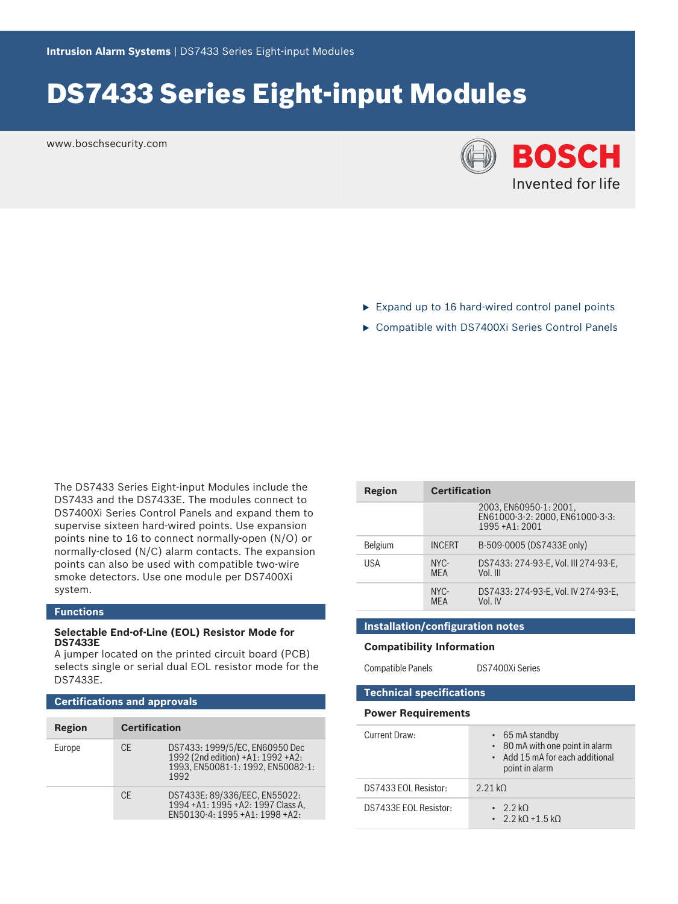# DS7433 Series Eight‑input Modules

www.boschsecurity.com



- $\triangleright$  Expand up to 16 hard-wired control panel points
- ▶ Compatible with DS7400Xi Series Control Panels

The DS7433 Series Eight-input Modules include the DS7433 and the DS7433E. The modules connect to DS7400Xi Series Control Panels and expand them to supervise sixteen hard-wired points. Use expansion points nine to 16 to connect normally-open (N/O) or normally-closed (N/C) alarm contacts. The expansion points can also be used with compatible two-wire smoke detectors. Use one module per DS7400Xi system.

### **Functions**

#### **Selectable End-of-Line (EOL) Resistor Mode for DS7433E**

A jumper located on the printed circuit board (PCB) selects single or serial dual EOL resistor mode for the DS7433E.

### **Certifications and approvals**

| <b>Region</b> | <b>Certification</b> |                                                                                                                  |
|---------------|----------------------|------------------------------------------------------------------------------------------------------------------|
| Europe        | CF.                  | DS7433: 1999/5/EC, EN60950 Dec<br>1992 (2nd edition) +A1: 1992 +A2:<br>1993, EN50081-1: 1992, EN50082-1:<br>1992 |
|               | C.F                  | DS7433E: 89/336/EEC, EN55022:<br>1994 + A1: 1995 + A2: 1997 Class A,<br>EN50130-4: 1995 +A1: 1998 +A2:           |

| Region  | <b>Certification</b> |                                                                              |
|---------|----------------------|------------------------------------------------------------------------------|
|         |                      | 2003, EN60950-1: 2001,<br>EN61000-3-2: 2000. EN61000-3-3:<br>1995 + A1: 2001 |
| Belgium | <b>INCFRT</b>        | B-509-0005 (DS7433E only)                                                    |
| USA     | NYC-<br><b>MFA</b>   | DS7433: 274-93-E, Vol. III 274-93-E.<br>Vol. III                             |
|         | NYC-<br><b>MFA</b>   | DS7433: 274-93-E, Vol. IV 274-93-E.<br>Vol. IV                               |

#### **Installation/configuration notes**

#### **Compatibility Information**

Compatible Panels DS7400Xi Series

#### **Technical specifications**

#### **Power Requirements**

| Current Draw:         | $\cdot$ 65 mA standby<br>• 80 mA with one point in alarm<br>• Add 15 mA for each additional<br>point in alarm |
|-----------------------|---------------------------------------------------------------------------------------------------------------|
| DS7433 FOL Resistor:  | 2.21 kO                                                                                                       |
| DS7433F FOL Resistor: | $\cdot$ 2.2 kO<br>$\cdot$ 2.2 kO + 1.5 kO                                                                     |